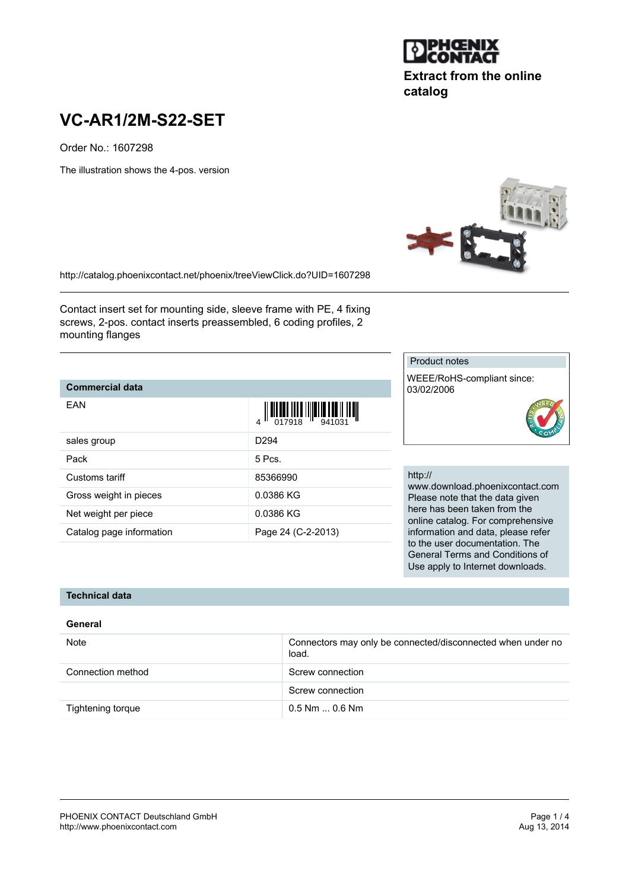

## **Extract from the online catalog**

# **VC-AR1/2M-S22-SET**

Order No.: 1607298

The illustration shows the 4-pos. version

<http://catalog.phoenixcontact.net/phoenix/treeViewClick.do?UID=1607298>

Contact insert set for mounting side, sleeve frame with PE, 4 fixing screws, 2-pos. contact inserts preassembled, 6 coding profiles, 2 mounting flanges

## **Commercial data**

| FAN                      | $\left\  \prod_{0.17918} \prod_{10.1941} \prod_{241031} \prod_{11} \prod_{11}$ |
|--------------------------|--------------------------------------------------------------------------------|
| sales group              | D <sub>294</sub>                                                               |
| Pack                     | $5$ Pcs.                                                                       |
| Customs tariff           | 85366990                                                                       |
| Gross weight in pieces   | 0.0386 KG                                                                      |
| Net weight per piece     | 0.0386 KG                                                                      |
| Catalog page information | Page 24 (C-2-2013)                                                             |

Product notes

355

WEEE/RoHS-compliant since: 03/02/2006



#### http://

www.download.phoenixcontact.com Please note that the data given here has been taken from the online catalog. For comprehensive information and data, please refer to the user documentation. The General Terms and Conditions of Use apply to Internet downloads.

## **Technical data**

### **General**

| Note              | Connectors may only be connected/disconnected when under no<br>load. |
|-------------------|----------------------------------------------------------------------|
| Connection method | Screw connection                                                     |
|                   | Screw connection                                                     |
| Tightening torque | $0.5$ Nm $$ 0.6 Nm                                                   |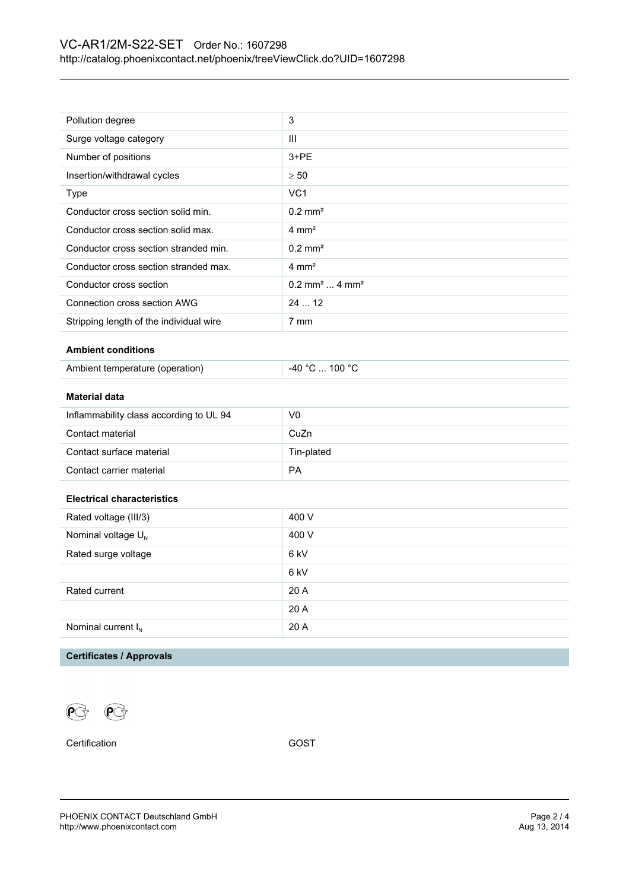| Pollution degree                        | 3                                       |  |
|-----------------------------------------|-----------------------------------------|--|
| Surge voltage category                  | III                                     |  |
| Number of positions                     | $3 + PE$                                |  |
| Insertion/withdrawal cycles             | $\geq 50$                               |  |
| Type                                    | VC <sub>1</sub>                         |  |
| Conductor cross section solid min.      | $0.2$ mm <sup>2</sup>                   |  |
| Conductor cross section solid max.      | $4 \text{ mm}^2$                        |  |
| Conductor cross section stranded min.   | $0.2$ mm <sup>2</sup>                   |  |
| Conductor cross section stranded max.   | $4 \text{ mm}^2$                        |  |
| Conductor cross section                 | $0.2$ mm <sup>2</sup> 4 mm <sup>2</sup> |  |
| Connection cross section AWG            | 24  12                                  |  |
| Stripping length of the individual wire | 7 mm                                    |  |
| <b>Ambient conditions</b>               |                                         |  |
| Ambient temperature (operation)         | -40 °C  100 °C                          |  |
|                                         |                                         |  |
| <b>Material data</b>                    |                                         |  |
| Inflammability class according to UL 94 | V <sub>0</sub>                          |  |
| Contact material                        | CuZn                                    |  |
| Contact surface material                | Tin-plated                              |  |
| Contact carrier material                | PA                                      |  |
|                                         |                                         |  |
| <b>Electrical characteristics</b>       |                                         |  |
| Rated voltage (III/3)                   | 400 V                                   |  |
| Nominal voltage U <sub>N</sub>          | 400 V                                   |  |
| Rated surge voltage                     | 6 kV                                    |  |
|                                         | 6 kV                                    |  |
|                                         |                                         |  |
| Rated current                           | 20 A                                    |  |
|                                         | 20 A                                    |  |
| Nominal current $I_N$                   | 20 A                                    |  |

### **Certificates / Approvals**

 $\mathbb{R}$  $\mathcal{P}$ 

Certification GOST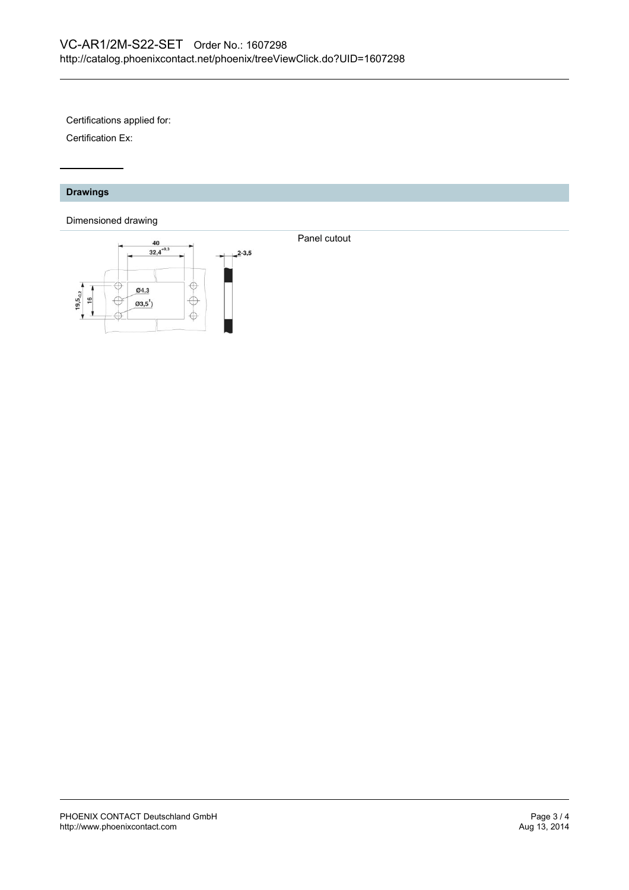Certifications applied for:

Certification Ex:

#### **Drawings**

#### Dimensioned drawing